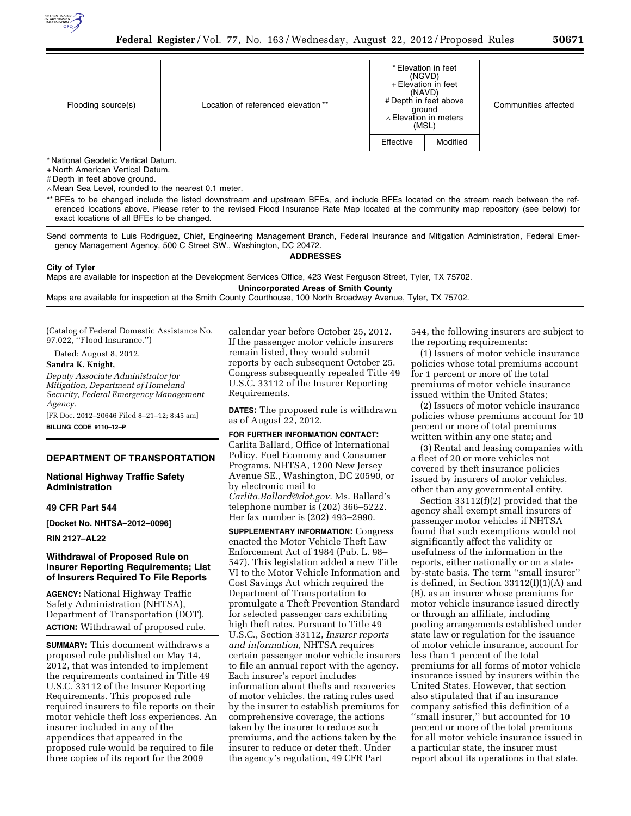

| Flooding source(s) | Location of referenced elevation** |           | * Elevation in feet<br>(NGVD)<br>+ Elevation in feet<br>(NAVD)<br># Depth in feet above<br>ground<br>$\land$ Elevation in meters<br>(MSL) | Communities affected |
|--------------------|------------------------------------|-----------|-------------------------------------------------------------------------------------------------------------------------------------------|----------------------|
|                    |                                    | Effective | Modified                                                                                                                                  |                      |

\* National Geodetic Vertical Datum.

+ North American Vertical Datum.

# Depth in feet above ground.

∧ Mean Sea Level, rounded to the nearest 0.1 meter.

\*\* BFEs to be changed include the listed downstream and upstream BFEs, and include BFEs located on the stream reach between the referenced locations above. Please refer to the revised Flood Insurance Rate Map located at the community map repository (see below) for exact locations of all BFEs to be changed.

Send comments to Luis Rodriguez, Chief, Engineering Management Branch, Federal Insurance and Mitigation Administration, Federal Emergency Management Agency, 500 C Street SW., Washington, DC 20472.

### **ADDRESSES**

**City of Tyler**  Maps are available for inspection at the Development Services Office, 423 West Ferguson Street, Tyler, TX 75702.

**Unincorporated Areas of Smith County** 

Maps are available for inspection at the Smith County Courthouse, 100 North Broadway Avenue, Tyler, TX 75702.

(Catalog of Federal Domestic Assistance No. 97.022, ''Flood Insurance.'')

Dated: August 8, 2012.

**Sandra K. Knight,** 

*Deputy Associate Administrator for Mitigation, Department of Homeland Security, Federal Emergency Management Agency.*  [FR Doc. 2012–20646 Filed 8–21–12; 8:45 am]

**BILLING CODE 9110–12–P** 

# **DEPARTMENT OF TRANSPORTATION**

**National Highway Traffic Safety Administration** 

#### **49 CFR Part 544**

**[Docket No. NHTSA–2012–0096]** 

**RIN 2127–AL22** 

## **Withdrawal of Proposed Rule on Insurer Reporting Requirements; List of Insurers Required To File Reports**

**AGENCY:** National Highway Traffic Safety Administration (NHTSA), Department of Transportation (DOT). **ACTION:** Withdrawal of proposed rule.

**SUMMARY:** This document withdraws a proposed rule published on May 14, 2012, that was intended to implement the requirements contained in Title 49 U.S.C. 33112 of the Insurer Reporting Requirements. This proposed rule required insurers to file reports on their motor vehicle theft loss experiences. An insurer included in any of the appendices that appeared in the proposed rule would be required to file three copies of its report for the 2009

calendar year before October 25, 2012. If the passenger motor vehicle insurers remain listed, they would submit reports by each subsequent October 25. Congress subsequently repealed Title 49 U.S.C. 33112 of the Insurer Reporting Requirements.

**DATES:** The proposed rule is withdrawn as of August 22, 2012.

**FOR FURTHER INFORMATION CONTACT:**  Carlita Ballard, Office of International Policy, Fuel Economy and Consumer Programs, NHTSA, 1200 New Jersey Avenue SE., Washington, DC 20590, or by electronic mail to *[Carlita.Ballard@dot.gov.](mailto:Carlita.Ballard@dot.gov)* Ms. Ballard's telephone number is (202) 366–5222. Her fax number is (202) 493–2990.

**SUPPLEMENTARY INFORMATION:** Congress enacted the Motor Vehicle Theft Law Enforcement Act of 1984 (Pub. L. 98– 547). This legislation added a new Title VI to the Motor Vehicle Information and Cost Savings Act which required the Department of Transportation to promulgate a Theft Prevention Standard for selected passenger cars exhibiting high theft rates. Pursuant to Title 49 U.S.C., Section 33112, *Insurer reports and information,* NHTSA requires certain passenger motor vehicle insurers to file an annual report with the agency. Each insurer's report includes information about thefts and recoveries of motor vehicles, the rating rules used by the insurer to establish premiums for comprehensive coverage, the actions taken by the insurer to reduce such premiums, and the actions taken by the insurer to reduce or deter theft. Under the agency's regulation, 49 CFR Part

544, the following insurers are subject to the reporting requirements:

(1) Issuers of motor vehicle insurance policies whose total premiums account for 1 percent or more of the total premiums of motor vehicle insurance issued within the United States;

(2) Issuers of motor vehicle insurance policies whose premiums account for 10 percent or more of total premiums written within any one state; and

(3) Rental and leasing companies with a fleet of 20 or more vehicles not covered by theft insurance policies issued by insurers of motor vehicles, other than any governmental entity.

Section 33112(f)(2) provided that the agency shall exempt small insurers of passenger motor vehicles if NHTSA found that such exemptions would not significantly affect the validity or usefulness of the information in the reports, either nationally or on a stateby-state basis. The term ''small insurer'' is defined, in Section 33112(f)(1)(A) and (B), as an insurer whose premiums for motor vehicle insurance issued directly or through an affiliate, including pooling arrangements established under state law or regulation for the issuance of motor vehicle insurance, account for less than 1 percent of the total premiums for all forms of motor vehicle insurance issued by insurers within the United States. However, that section also stipulated that if an insurance company satisfied this definition of a ''small insurer,'' but accounted for 10 percent or more of the total premiums for all motor vehicle insurance issued in a particular state, the insurer must report about its operations in that state.